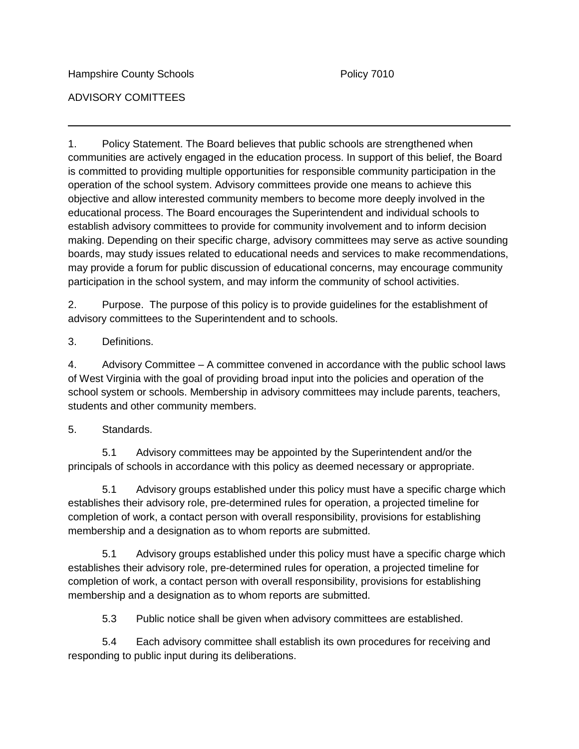ADVISORY COMITTEES

1. Policy Statement. The Board believes that public schools are strengthened when communities are actively engaged in the education process. In support of this belief, the Board is committed to providing multiple opportunities for responsible community participation in the operation of the school system. Advisory committees provide one means to achieve this objective and allow interested community members to become more deeply involved in the educational process. The Board encourages the Superintendent and individual schools to establish advisory committees to provide for community involvement and to inform decision making. Depending on their specific charge, advisory committees may serve as active sounding boards, may study issues related to educational needs and services to make recommendations, may provide a forum for public discussion of educational concerns, may encourage community participation in the school system, and may inform the community of school activities.

2. Purpose. The purpose of this policy is to provide guidelines for the establishment of advisory committees to the Superintendent and to schools.

## 3. Definitions.

4. Advisory Committee – A committee convened in accordance with the public school laws of West Virginia with the goal of providing broad input into the policies and operation of the school system or schools. Membership in advisory committees may include parents, teachers, students and other community members.

## 5. Standards.

5.1 Advisory committees may be appointed by the Superintendent and/or the principals of schools in accordance with this policy as deemed necessary or appropriate.

5.1 Advisory groups established under this policy must have a specific charge which establishes their advisory role, pre-determined rules for operation, a projected timeline for completion of work, a contact person with overall responsibility, provisions for establishing membership and a designation as to whom reports are submitted.

5.1 Advisory groups established under this policy must have a specific charge which establishes their advisory role, pre-determined rules for operation, a projected timeline for completion of work, a contact person with overall responsibility, provisions for establishing membership and a designation as to whom reports are submitted.

5.3 Public notice shall be given when advisory committees are established.

5.4 Each advisory committee shall establish its own procedures for receiving and responding to public input during its deliberations.